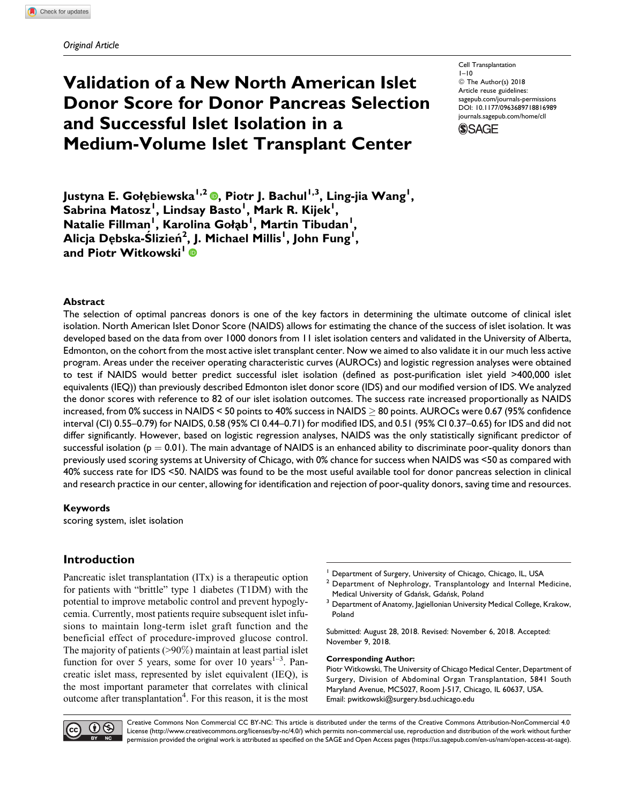# Validation of a New North American Islet Donor Score for Donor Pancreas Selection and Successful Islet Isolation in a Medium-Volume Islet Transplant Center

Cell Transplantation 1–10 © The Author(s) 2018 Article reuse guidelines: [sagepub.com/journals-permissions](https://sagepub.com/journals-permissions) [DOI: 10.1177/0963689718816989](https://doi.org/10.1177/0963689718816989) [journals.sagepub.com/home/cll](http://journals.sagepub.com/home/cll) **SSAGE** 

Justyna E. Gołębiewska<sup>1[,](https://orcid.org/0000-0001-5346-8369)2</sup> ®, Piotr J. Bachul<sup>1,3</sup>, Ling-jia Wang<sup>1</sup>, Sabrina Matosz<sup>i</sup>, Lindsay Basto<sup>i</sup>, Mark R. Kijek<sup>i</sup>, Natalie Fillman<sup>i</sup>, Karolina Gołąb<sup>i</sup>, Martin Tibudan<sup>i</sup>, Alicja Dębska-Ślizień<sup>2</sup>, J. Michael Millis<sup>I</sup>, John Fung<sup>I</sup>, and Piotr Witkowski<sup>1</sup> ®

# Abstract

The selection of optimal pancreas donors is one of the key factors in determining the ultimate outcome of clinical islet isolation. North American Islet Donor Score (NAIDS) allows for estimating the chance of the success of islet isolation. It was developed based on the data from over 1000 donors from 11 islet isolation centers and validated in the University of Alberta, Edmonton, on the cohort from the most active islet transplant center. Now we aimed to also validate it in our much less active program. Areas under the receiver operating characteristic curves (AUROCs) and logistic regression analyses were obtained to test if NAIDS would better predict successful islet isolation (defined as post-purification islet yield >400,000 islet equivalents (IEQ)) than previously described Edmonton islet donor score (IDS) and our modified version of IDS. We analyzed the donor scores with reference to 82 of our islet isolation outcomes. The success rate increased proportionally as NAIDS increased, from 0% success in NAIDS < 50 points to 40% success in NAIDS  $\geq$  80 points. AUROCs were 0.67 (95% confidence interval (CI) 0.55–0.79) for NAIDS, 0.58 (95% CI 0.44–0.71) for modified IDS, and 0.51 (95% CI 0.37–0.65) for IDS and did not differ significantly. However, based on logistic regression analyses, NAIDS was the only statistically significant predictor of successful isolation ( $p = 0.01$ ). The main advantage of NAIDS is an enhanced ability to discriminate poor-quality donors than previously used scoring systems at University of Chicago, with 0% chance for success when NAIDS was <50 as compared with 40% success rate for IDS <50. NAIDS was found to be the most useful available tool for donor pancreas selection in clinical and research practice in our center, allowing for identification and rejection of poor-quality donors, saving time and resources.

#### Keywords

scoring system, islet isolation

# Introduction

Pancreatic islet transplantation (ITx) is a therapeutic option for patients with "brittle" type 1 diabetes (T1DM) with the potential to improve metabolic control and prevent hypoglycemia. Currently, most patients require subsequent islet infusions to maintain long-term islet graft function and the beneficial effect of procedure-improved glucose control. The majority of patients (>90%) maintain at least partial islet function for over 5 years, some for over 10 years<sup>1-3</sup>. Pancreatic islet mass, represented by islet equivalent (IEQ), is the most important parameter that correlates with clinical outcome after transplantation<sup>4</sup>. For this reason, it is the most

- <sup>1</sup> Department of Surgery, University of Chicago, Chicago, IL, USA
- <sup>2</sup> Department of Nephrology, Transplantology and Internal Medicine,
- Medical University of Gdańsk, Gdańsk, Poland<br><sup>3</sup> Department of Anatomy, Jagiellonian University Medical College, Krakow, Poland

Submitted: August 28, 2018. Revised: November 6, 2018. Accepted: November 9, 2018.

#### Corresponding Author:

Piotr Witkowski, The University of Chicago Medical Center, Department of Surgery, Division of Abdominal Organ Transplantation, 5841 South Maryland Avenue, MC5027, Room J-517, Chicago, IL 60637, USA. Email: [pwitkowski@surgery.bsd.uchicago.edu](mailto:pwitkowski@surgery.bsd.uchicago.edu)



Creative Commons Non Commercial CC BY-NC: This article is distributed under the terms of the Creative Commons Attribution-NonCommercial 4.0 License (http://www.creativecommons.org/licenses/by-nc/4.0/) which permits non-commercial use, reproduction and distribution of the work without further permission provided the original work is attributed as specified on the SAGE and Open Access pages (https://us.sagepub.com/en-us/nam/open-access-at-sage).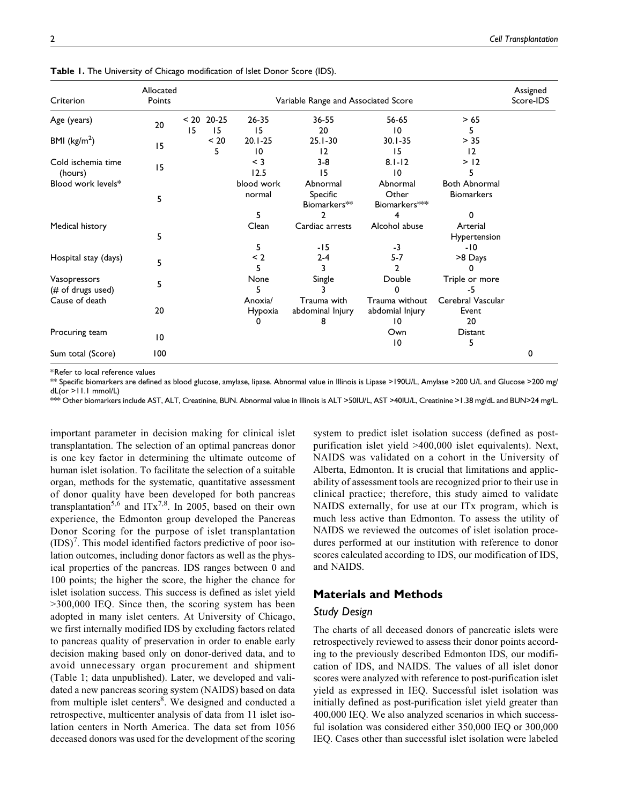| Criterion            | Allocated<br>Points |      |           |                 | Variable Range and Associated Score |                 |                      | Assigned<br>Score-IDS |
|----------------------|---------------------|------|-----------|-----------------|-------------------------------------|-----------------|----------------------|-----------------------|
| Age (years)          | 20                  | < 20 | $20 - 25$ | 26-35           | 36-55                               | 56-65           | > 65                 |                       |
|                      |                     | 15   | 15        | 15              | 20                                  | $\overline{10}$ | 5                    |                       |
| BMI $(kg/m2)$        | 15                  |      | < 20      | $20.1 - 25$     | $25.1 - 30$                         | $30.1 - 35$     | > 35                 |                       |
|                      |                     |      | 5         | $\overline{10}$ | 12                                  | 15              | 12                   |                       |
| Cold ischemia time   | 15                  |      |           | $<$ 3           | $3 - 8$                             | $8.1 - 12$      | > 12                 |                       |
| (hours)              |                     |      |           | 12.5            | 15                                  | 10              | 5                    |                       |
| Blood work levels*   |                     |      |           | blood work      | Abnormal                            | Abnormal        | <b>Both Abnormal</b> |                       |
|                      | 5                   |      |           | normal          | Specific                            | Other           | <b>Biomarkers</b>    |                       |
|                      |                     |      |           |                 | Biomarkers**                        | Biomarkers***   |                      |                       |
|                      |                     |      |           | 5               | $\mathbf{2}$                        | 4               | 0                    |                       |
| Medical history      |                     |      |           | Clean           | Cardiac arrests                     | Alcohol abuse   | Arterial             |                       |
|                      | 5                   |      |           |                 |                                     |                 | Hypertension         |                       |
|                      |                     |      |           | 5               | $-15$                               | -3              | -10                  |                       |
| Hospital stay (days) | 5                   |      |           | $\leq$ 2        | $2 - 4$                             | $5 - 7$         | >8 Days              |                       |
|                      |                     |      |           |                 | 3                                   | $\overline{2}$  | 0                    |                       |
| Vasopressors         | 5                   |      |           | None            | Single                              | Double          | Triple or more       |                       |
| (# of drugs used)    |                     |      |           | 5               |                                     | O               | -5                   |                       |
| Cause of death       |                     |      |           | Anoxia/         | Trauma with                         | Trauma without  | Cerebral Vascular    |                       |
|                      | 20                  |      |           | Hypoxia         | abdominal Injury                    | abdomial Injury | Event                |                       |
|                      |                     |      |           | 0               | 8                                   | 10              | 20                   |                       |
| Procuring team       | $\overline{0}$      |      |           |                 |                                     | Own             | Distant              |                       |
|                      |                     |      |           |                 |                                     | 10              | 5                    |                       |
| Sum total (Score)    | 100                 |      |           |                 |                                     |                 |                      | 0                     |

Table 1. The University of Chicago modification of Islet Donor Score (IDS).

\*Refer to local reference values

\*\* Specific biomarkers are defined as blood glucose, amylase, lipase. Abnormal value in Illinois is Lipase >190U/L, Amylase >200 U/L and Glucose >200 mg/ dL(or >11.1 mmol/L)

\*\*\* Other biomarkers include AST, ALT, Creatinine, BUN. Abnormal value in Illinois is ALT >50IU/L, AST >40IU/L, Creatinine >1.38 mg/dL and BUN>24 mg/L.

important parameter in decision making for clinical islet transplantation. The selection of an optimal pancreas donor is one key factor in determining the ultimate outcome of human islet isolation. To facilitate the selection of a suitable organ, methods for the systematic, quantitative assessment of donor quality have been developed for both pancreas transplantation<sup>5,6</sup> and  $ITx^{7,8}$ . In 2005, based on their own experience, the Edmonton group developed the Pancreas Donor Scoring for the purpose of islet transplantation  $(IDS)<sup>7</sup>$ . This model identified factors predictive of poor isolation outcomes, including donor factors as well as the physical properties of the pancreas. IDS ranges between 0 and 100 points; the higher the score, the higher the chance for islet isolation success. This success is defined as islet yield >300,000 IEQ. Since then, the scoring system has been adopted in many islet centers. At University of Chicago, we first internally modified IDS by excluding factors related to pancreas quality of preservation in order to enable early decision making based only on donor-derived data, and to avoid unnecessary organ procurement and shipment (Table 1; data unpublished). Later, we developed and validated a new pancreas scoring system (NAIDS) based on data from multiple islet centers<sup>8</sup>. We designed and conducted a retrospective, multicenter analysis of data from 11 islet isolation centers in North America. The data set from 1056 deceased donors was used for the development of the scoring system to predict islet isolation success (defined as postpurification islet yield >400,000 islet equivalents). Next, NAIDS was validated on a cohort in the University of Alberta, Edmonton. It is crucial that limitations and applicability of assessment tools are recognized prior to their use in clinical practice; therefore, this study aimed to validate NAIDS externally, for use at our ITx program, which is much less active than Edmonton. To assess the utility of NAIDS we reviewed the outcomes of islet isolation procedures performed at our institution with reference to donor scores calculated according to IDS, our modification of IDS, and NAIDS.

# Materials and Methods

#### Study Design

The charts of all deceased donors of pancreatic islets were retrospectively reviewed to assess their donor points according to the previously described Edmonton IDS, our modification of IDS, and NAIDS. The values of all islet donor scores were analyzed with reference to post-purification islet yield as expressed in IEQ. Successful islet isolation was initially defined as post-purification islet yield greater than 400,000 IEQ. We also analyzed scenarios in which successful isolation was considered either 350,000 IEQ or 300,000 IEQ. Cases other than successful islet isolation were labeled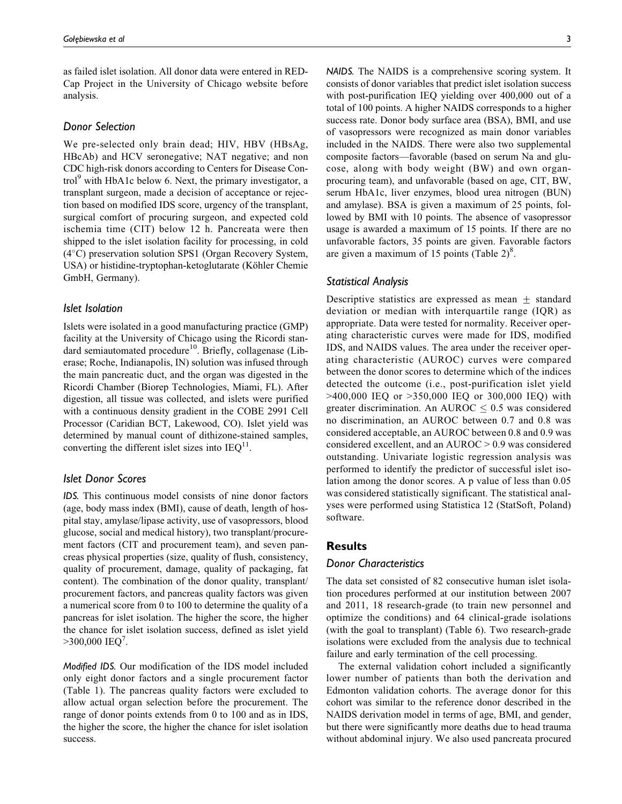as failed islet isolation. All donor data were entered in RED-Cap Project in the University of Chicago website before analysis.

### Donor Selection

We pre-selected only brain dead; HIV, HBV (HBsAg, HBcAb) and HCV seronegative; NAT negative; and non CDC high-risk donors according to Centers for Disease Control<sup>9</sup> with HbA1c below 6. Next, the primary investigator, a transplant surgeon, made a decision of acceptance or rejection based on modified IDS score, urgency of the transplant, surgical comfort of procuring surgeon, and expected cold ischemia time (CIT) below 12 h. Pancreata were then shipped to the islet isolation facility for processing, in cold  $(4^{\circ}$ C) preservation solution SPS1 (Organ Recovery System, USA) or histidine-tryptophan-ketoglutarate (Köhler Chemie GmbH, Germany).

### Islet Isolation

Islets were isolated in a good manufacturing practice (GMP) facility at the University of Chicago using the Ricordi standard semiautomated procedure<sup>10</sup>. Briefly, collagenase (Liberase; Roche, Indianapolis, IN) solution was infused through the main pancreatic duct, and the organ was digested in the Ricordi Chamber (Biorep Technologies, Miami, FL). After digestion, all tissue was collected, and islets were purified with a continuous density gradient in the COBE 2991 Cell Processor (Caridian BCT, Lakewood, CO). Islet yield was determined by manual count of dithizone-stained samples, converting the different islet sizes into  $IEQ<sup>11</sup>$ .

## Islet Donor Scores

IDS. This continuous model consists of nine donor factors (age, body mass index (BMI), cause of death, length of hospital stay, amylase/lipase activity, use of vasopressors, blood glucose, social and medical history), two transplant/procurement factors (CIT and procurement team), and seven pancreas physical properties (size, quality of flush, consistency, quality of procurement, damage, quality of packaging, fat content). The combination of the donor quality, transplant/ procurement factors, and pancreas quality factors was given a numerical score from 0 to 100 to determine the quality of a pancreas for islet isolation. The higher the score, the higher the chance for islet isolation success, defined as islet yield  $>$ 300,000 IEQ<sup>7</sup>.

Modified IDS. Our modification of the IDS model included only eight donor factors and a single procurement factor (Table 1). The pancreas quality factors were excluded to allow actual organ selection before the procurement. The range of donor points extends from 0 to 100 and as in IDS, the higher the score, the higher the chance for islet isolation success.

NAIDS. The NAIDS is a comprehensive scoring system. It consists of donor variables that predict islet isolation success with post-purification IEQ yielding over 400,000 out of a total of 100 points. A higher NAIDS corresponds to a higher success rate. Donor body surface area (BSA), BMI, and use of vasopressors were recognized as main donor variables included in the NAIDS. There were also two supplemental composite factors—favorable (based on serum Na and glucose, along with body weight (BW) and own organprocuring team), and unfavorable (based on age, CIT, BW, serum HbA1c, liver enzymes, blood urea nitrogen (BUN) and amylase). BSA is given a maximum of 25 points, followed by BMI with 10 points. The absence of vasopressor usage is awarded a maximum of 15 points. If there are no unfavorable factors, 35 points are given. Favorable factors are given a maximum of 15 points (Table  $2)^8$ .

#### Statistical Analysis

Descriptive statistics are expressed as mean  $\pm$  standard deviation or median with interquartile range (IQR) as appropriate. Data were tested for normality. Receiver operating characteristic curves were made for IDS, modified IDS, and NAIDS values. The area under the receiver operating characteristic (AUROC) curves were compared between the donor scores to determine which of the indices detected the outcome (i.e., post-purification islet yield >400,000 IEQ or >350,000 IEQ or 300,000 IEQ) with greater discrimination. An AUROC  $\leq 0.5$  was considered no discrimination, an AUROC between 0.7 and 0.8 was considered acceptable, an AUROC between 0.8 and 0.9 was considered excellent, and an AUROC > 0.9 was considered outstanding. Univariate logistic regression analysis was performed to identify the predictor of successful islet isolation among the donor scores. A p value of less than 0.05 was considered statistically significant. The statistical analyses were performed using Statistica 12 (StatSoft, Poland) software.

# Results

## Donor Characteristics

The data set consisted of 82 consecutive human islet isolation procedures performed at our institution between 2007 and 2011, 18 research-grade (to train new personnel and optimize the conditions) and 64 clinical-grade isolations (with the goal to transplant) (Table 6). Two research-grade isolations were excluded from the analysis due to technical failure and early termination of the cell processing.

The external validation cohort included a significantly lower number of patients than both the derivation and Edmonton validation cohorts. The average donor for this cohort was similar to the reference donor described in the NAIDS derivation model in terms of age, BMI, and gender, but there were significantly more deaths due to head trauma without abdominal injury. We also used pancreata procured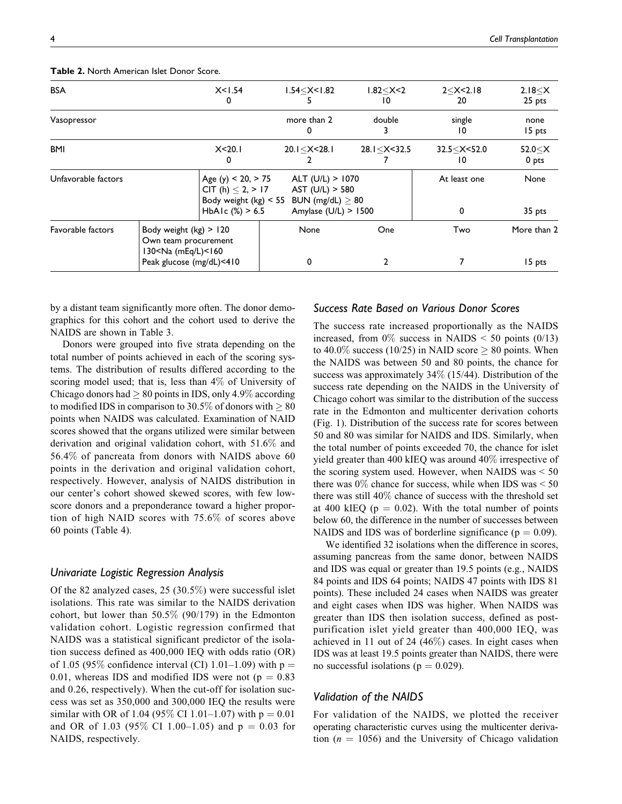| <b>BSA</b>          |                                                                                                                                                              | X < 1.54<br>0                                                          | 1.54 < X < 1.82                                                | 1.82 < X < 2<br>10 | 2 < X < 2.18<br>20    | $2.18 \leq X$<br>25 pts        |
|---------------------|--------------------------------------------------------------------------------------------------------------------------------------------------------------|------------------------------------------------------------------------|----------------------------------------------------------------|--------------------|-----------------------|--------------------------------|
| Vasopressor         |                                                                                                                                                              |                                                                        | more than 2<br>0                                               | double             | single<br>10          | none<br>15 pts                 |
| <b>BMI</b>          |                                                                                                                                                              | X < 20.1<br>0                                                          | 20.1 < X < 28.1                                                | 28.1 < X < 32.5    | 32.5 < X < 52.0<br>10 | 52.0 $<$ X<br>0 <sub>pts</sub> |
| Unfavorable factors |                                                                                                                                                              | Age (y) < 20, > 75<br>CIT (h) $<$ 2, $>$ 17<br>Body weight $(kg) < 55$ | ALT (U/L) $> 1070$<br>AST (U/L) > 580<br>BUN (mg/dL) $\geq$ 80 |                    | At least one          | None                           |
|                     |                                                                                                                                                              | HbA1c $(\%) > 6.5$                                                     | Amylase $(U/L) > 1500$                                         |                    | 0                     | 35 pts                         |
| Favorable factors   | Body weight $(kg) > 120$<br>Own team procurement<br>130 <na (meq="" l)<160<="" td=""><td></td><td>None</td><td>One</td><td>Two</td><td>More than 2</td></na> |                                                                        | None                                                           | One                | Two                   | More than 2                    |
|                     | Peak glucose (mg/dL)<410                                                                                                                                     |                                                                        | 0                                                              |                    |                       | 15 pts                         |

Table 2. North American Islet Donor Score.

by a distant team significantly more often. The donor demographics for this cohort and the cohort used to derive the NAIDS are shown in Table 3.

Donors were grouped into five strata depending on the total number of points achieved in each of the scoring systems. The distribution of results differed according to the scoring model used; that is, less than 4% of University of Chicago donors had  $\geq 80$  points in IDS, only 4.9% according to modified IDS in comparison to 30.5% of donors with  $\geq$  80 points when NAIDS was calculated. Examination of NAID scores showed that the organs utilized were similar between derivation and original validation cohort, with 51.6% and 56.4% of pancreata from donors with NAIDS above 60 points in the derivation and original validation cohort, respectively. However, analysis of NAIDS distribution in our center's cohort showed skewed scores, with few lowscore donors and a preponderance toward a higher proportion of high NAID scores with 75.6% of scores above 60 points (Table 4).

#### Univariate Logistic Regression Analysis

Of the 82 analyzed cases, 25 (30.5%) were successful islet isolations. This rate was similar to the NAIDS derivation cohort, but lower than 50.5% (90/179) in the Edmonton validation cohort. Logistic regression confirmed that NAIDS was a statistical significant predictor of the isolation success defined as 400,000 IEQ with odds ratio (OR) of 1.05 (95% confidence interval (CI) 1.01–1.09) with  $p =$ 0.01, whereas IDS and modified IDS were not ( $p = 0.83$ ) and 0.26, respectively). When the cut-off for isolation success was set as 350,000 and 300,000 IEQ the results were similar with OR of 1.04 (95% CI 1.01–1.07) with  $p = 0.01$ and OR of 1.03 (95% CI 1.00–1.05) and  $p = 0.03$  for NAIDS, respectively.

# Success Rate Based on Various Donor Scores

The success rate increased proportionally as the NAIDS increased, from  $0\%$  success in NAIDS < 50 points (0/13) to 40.0% success (10/25) in NAID score  $\geq 80$  points. When the NAIDS was between 50 and 80 points, the chance for success was approximately 34% (15/44). Distribution of the success rate depending on the NAIDS in the University of Chicago cohort was similar to the distribution of the success rate in the Edmonton and multicenter derivation cohorts (Fig. 1). Distribution of the success rate for scores between 50 and 80 was similar for NAIDS and IDS. Similarly, when the total number of points exceeded 70, the chance for islet yield greater than 400 kIEQ was around 40% irrespective of the scoring system used. However, when NAIDS was  $\leq 50$ there was  $0\%$  chance for success, while when IDS was  $\leq 50$ there was still 40% chance of success with the threshold set at 400 kIEQ ( $p = 0.02$ ). With the total number of points below 60, the difference in the number of successes between NAIDS and IDS was of borderline significance ( $p = 0.09$ ).

We identified 32 isolations when the difference in scores, assuming pancreas from the same donor, between NAIDS and IDS was equal or greater than 19.5 points (e.g., NAIDS 84 points and IDS 64 points; NAIDS 47 points with IDS 81 points). These included 24 cases when NAIDS was greater and eight cases when IDS was higher. When NAIDS was greater than IDS then isolation success, defined as postpurification islet yield greater than 400,000 IEQ, was achieved in 11 out of 24 (46%) cases. In eight cases when IDS was at least 19.5 points greater than NAIDS, there were no successful isolations ( $p = 0.029$ ).

# Validation of the NAIDS

For validation of the NAIDS, we plotted the receiver operating characteristic curves using the multicenter derivation ( $n = 1056$ ) and the University of Chicago validation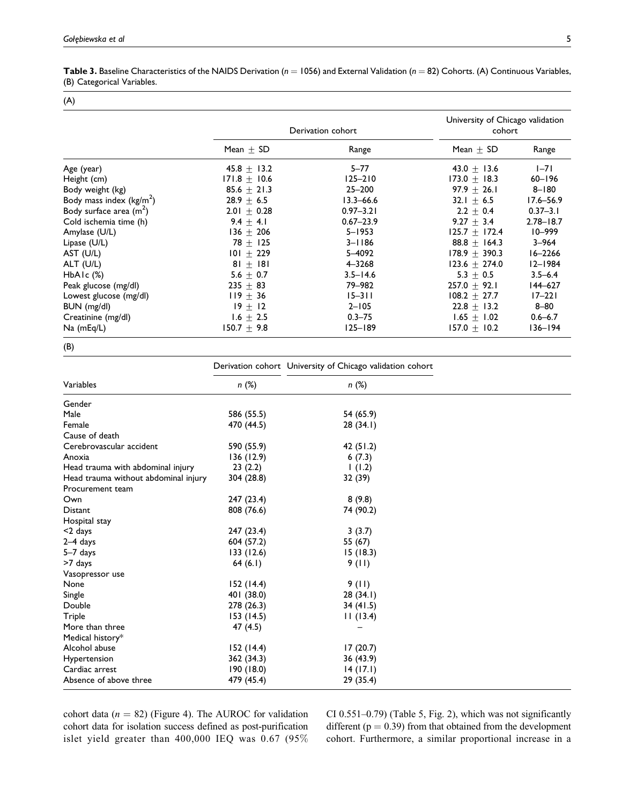Table 3. Baseline Characteristics of the NAIDS Derivation ( $n = 1056$ ) and External Validation ( $n = 82$ ) Cohorts. (A) Continuous Variables, (B) Categorical Variables.

#### (A)

|                           |                  | Derivation cohort | University of Chicago validation<br>cohort |               |
|---------------------------|------------------|-------------------|--------------------------------------------|---------------|
|                           | $Mean + SD$      | Range             | Mean $\pm$ SD                              | Range         |
| Age (year)                | $45.8 \pm 13.2$  | $5 - 77$          | 43.0 $\pm$ 13.6                            | $ -7 $        |
| Height (cm)               | $171.8 \pm 10.6$ | $125 - 210$       | $173.0 + 18.3$                             | $60 - 196$    |
| Body weight (kg)          | $85.6 + 21.3$    | $25 - 200$        | 97.9 $\pm$ 26.1                            | $8 - 180$     |
| Body mass index $(kg/m2)$ | $28.9 \pm 6.5$   | $13.3 - 66.6$     | 32.1 $\pm$ 6.5                             | $17.6 - 56.9$ |
| Body surface area $(m^2)$ | $2.01 \pm 0.28$  | $0.97 - 3.21$     | $2.2 \pm 0.4$                              | $0.37 - 3.1$  |
| Cold ischemia time (h)    | 9.4 $\pm$ 4.1    | $0.67 - 23.9$     | $9.27 + 3.4$                               | $2.78 - 18.7$ |
| Amylase (U/L)             | $136 + 206$      | $5 - 1953$        | $125.7 + 172.4$                            | $10 - 999$    |
| Lipase $(U/L)$            | $78 + 125$       | $3 - 1186$        | $88.8 + 164.3$                             | $3 - 964$     |
| AST (U/L)                 | $101 + 229$      | $5 - 4092$        | $178.9 \pm 390.3$                          | $16 - 2266$   |
| ALT (U/L)                 | $81 \pm 181$     | $4 - 3268$        | $123.6 + 274.0$                            | $12 - 1984$   |
| $HbA1c$ $(\%)$            | 5.6 $\pm$ 0.7    | $3.5 - 14.6$      | $5.3 + 0.5$                                | $3.5 - 6.4$   |
| Peak glucose (mg/dl)      | $235 + 83$       | 79-982            | $257.0 + 92.1$                             | $144 - 627$   |
| Lowest glucose (mg/dl)    | $119 \pm 36$     | $15 - 311$        | $108.2 + 27.7$                             | $17 - 221$    |
| BUN (mg/dl)               | $19 \pm 12$      | $2 - 105$         | $22.8 \pm 13.2$                            | $8 - 80$      |
| Creatinine (mg/dl)        | $1.6 \pm 2.5$    | $0.3 - 75$        | $1.65 \pm 1.02$                            | $0.6 - 6.7$   |
| $Na$ (mEq/L)              | $150.7 + 9.8$    | $125 - 189$       | $157.0 + 10.2$                             | $136 - 194$   |

(B)

|                                      |            | Derivation cohort University of Chicago validation cohort |  |
|--------------------------------------|------------|-----------------------------------------------------------|--|
| Variables                            | n (%)      | n (%)                                                     |  |
| Gender                               |            |                                                           |  |
| Male                                 | 586 (55.5) | 54 (65.9)                                                 |  |
| Female                               | 470 (44.5) | 28 (34.1)                                                 |  |
| Cause of death                       |            |                                                           |  |
| Cerebrovascular accident             | 590 (55.9) | 42 (51.2)                                                 |  |
| Anoxia                               | 136 (12.9) | 6(7.3)                                                    |  |
| Head trauma with abdominal injury    | 23(2.2)    | 1(1.2)                                                    |  |
| Head trauma without abdominal injury | 304 (28.8) | 32 (39)                                                   |  |
| Procurement team                     |            |                                                           |  |
| Own                                  | 247 (23.4) | 8(9.8)                                                    |  |
| Distant                              | 808 (76.6) | 74 (90.2)                                                 |  |
| Hospital stay                        |            |                                                           |  |
| $<$ 2 days                           | 247 (23.4) | 3(3.7)                                                    |  |
| $2-4$ days                           | 604 (57.2) | 55 (67)                                                   |  |
| $5-7$ days                           | 133 (12.6) | 15(18.3)                                                  |  |
| >7 days                              | 64 $(6.1)$ | 9(11)                                                     |  |
| Vasopressor use                      |            |                                                           |  |
| None                                 | 152(14.4)  | 9(11)                                                     |  |
| Single                               | 401 (38.0) | 28 (34.1)                                                 |  |
| Double                               | 278 (26.3) | 34(41.5)                                                  |  |
| Triple                               | 153(14.5)  | 11(13.4)                                                  |  |
| More than three                      | 47 (4.5)   |                                                           |  |
| Medical history*                     |            |                                                           |  |
| Alcohol abuse                        | 152(14.4)  | 17(20.7)                                                  |  |
| Hypertension                         | 362 (34.3) | 36 (43.9)                                                 |  |
| Cardiac arrest                       | 190 (18.0) | 14(17.1)                                                  |  |
| Absence of above three               | 479 (45.4) | 29 (35.4)                                                 |  |

cohort data ( $n = 82$ ) (Figure 4). The AUROC for validation cohort data for isolation success defined as post-purification islet yield greater than 400,000 IEQ was 0.67 (95% CI 0.551–0.79) (Table 5, Fig. 2), which was not significantly different ( $p = 0.39$ ) from that obtained from the development cohort. Furthermore, a similar proportional increase in a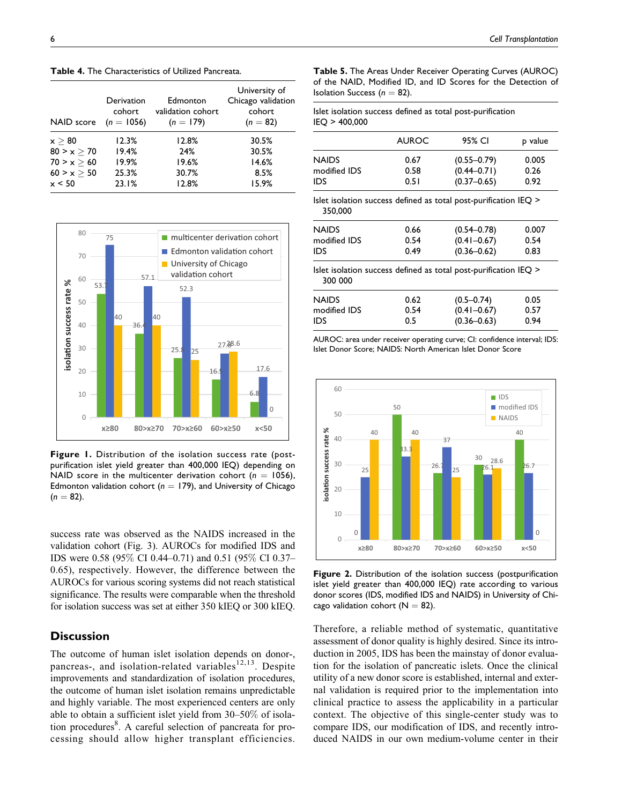Table 4. The Characteristics of Utilized Pancreata.

| NAID score  | Derivation<br>cohort<br>$(n = 1056)$ | Edmonton<br>validation cohort<br>$(n = 179)$ | University of<br>Chicago validation<br>cohort<br>$(n = 82)$ |
|-------------|--------------------------------------|----------------------------------------------|-------------------------------------------------------------|
| x > 80      | 12.3%                                | 12.8%                                        | 30.5%                                                       |
| 80 > x > 70 | 19.4%                                | 24%                                          | 30.5%                                                       |
| 70 > x > 60 | 19.9%                                | 19.6%                                        | 14.6%                                                       |
| 60 > x > 50 | 25.3%                                | 30.7%                                        | 8.5%                                                        |
| x < 50      | 23.1%                                | 12.8%                                        | 15.9%                                                       |



**Figure 1.** Distribution of the isolation success rate (postpurification islet yield greater than 400,000 IEQ) depending on NAID score in the multicenter derivation cohort ( $n = 1056$ ), Edmonton validation cohort ( $n = 179$ ), and University of Chicago  $(n = 82)$ .

success rate was observed as the NAIDS increased in the validation cohort (Fig. 3). AUROCs for modified IDS and IDS were 0.58 (95% CI 0.44–0.71) and 0.51 (95% CI 0.37– 0.65), respectively. However, the difference between the AUROCs for various scoring systems did not reach statistical significance. The results were comparable when the threshold for isolation success was set at either 350 kIEQ or 300 kIEQ.

# **Discussion**

The outcome of human islet isolation depends on donor-, pancreas-, and isolation-related variables<sup>12,13</sup>. Despite improvements and standardization of isolation procedures, the outcome of human islet isolation remains unpredictable and highly variable. The most experienced centers are only able to obtain a sufficient islet yield from 30–50% of isolation procedures<sup>8</sup>. A careful selection of pancreata for processing should allow higher transplant efficiencies.

|               |  |  | Islet isolation success defined as total post-purification |
|---------------|--|--|------------------------------------------------------------|
| IEO > 400,000 |  |  |                                                            |

|              | <b>AUROC</b> | 95% CI          | p value |
|--------------|--------------|-----------------|---------|
| <b>NAIDS</b> | 0.67         | $(0.55 - 0.79)$ | 0.005   |
| modified IDS | 0.58         | $(0.44 - 0.71)$ | 0.26    |
| ids          | 0.51         | $(0.37 - 0.65)$ | 0.92    |

Islet isolation success defined as total post-purification IEQ > 350,000

| <b>NAIDS</b> | 0.66 | $(0.54 - 0.78)$ | 0.007 |
|--------------|------|-----------------|-------|
| modified IDS | 0.54 | $(0.41 - 0.67)$ | 0.54  |
| IDS          | 0.49 | $(0.36 - 0.62)$ | 0.83  |

Islet isolation success defined as total post-purification IEQ > 300 000

| <b>NAIDS</b> | 0.62 | $(0.5 - 0.74)$  | 0.05 |  |
|--------------|------|-----------------|------|--|
| modified IDS | 0.54 | $(0.41 - 0.67)$ | 0.57 |  |
| ids          | 0.5  | $(0.36 - 0.63)$ | 0.94 |  |
|              |      |                 |      |  |

AUROC: area under receiver operating curve; CI: confidence interval; IDS: Islet Donor Score; NAIDS: North American Islet Donor Score



Figure 2. Distribution of the isolation success (postpurification islet yield greater than 400,000 IEQ) rate according to various donor scores (IDS, modified IDS and NAIDS) in University of Chicago validation cohort ( $N = 82$ ).

Therefore, a reliable method of systematic, quantitative assessment of donor quality is highly desired. Since its introduction in 2005, IDS has been the mainstay of donor evaluation for the isolation of pancreatic islets. Once the clinical utility of a new donor score is established, internal and external validation is required prior to the implementation into clinical practice to assess the applicability in a particular context. The objective of this single-center study was to compare IDS, our modification of IDS, and recently introduced NAIDS in our own medium-volume center in their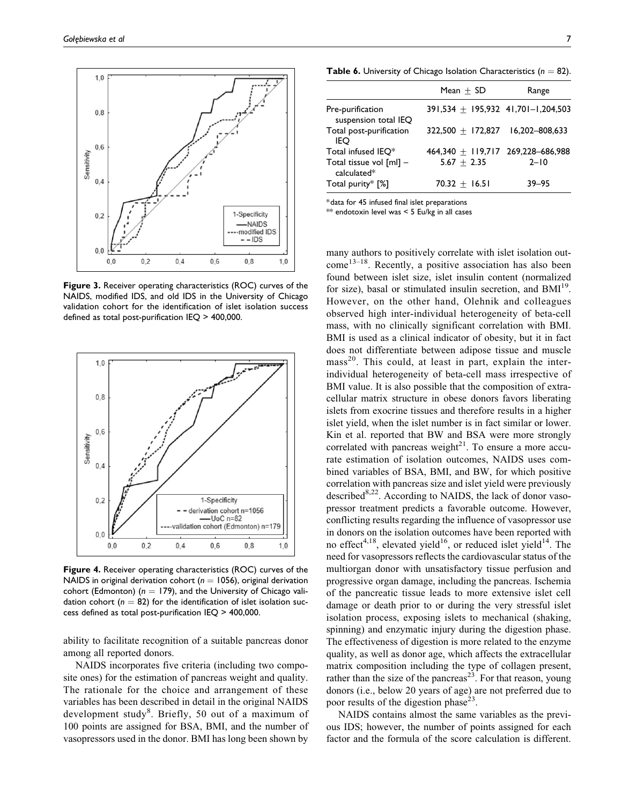

Figure 3. Receiver operating characteristics (ROC) curves of the NAIDS, modified IDS, and old IDS in the University of Chicago validation cohort for the identification of islet isolation success defined as total post-purification IEQ > 400,000.



Figure 4. Receiver operating characteristics (ROC) curves of the NAIDS in original derivation cohort ( $n = 1056$ ), original derivation cohort (Edmonton) ( $n = 179$ ), and the University of Chicago validation cohort ( $n = 82$ ) for the identification of islet isolation success defined as total post-purification IEQ > 400,000.

ability to facilitate recognition of a suitable pancreas donor among all reported donors.

NAIDS incorporates five criteria (including two composite ones) for the estimation of pancreas weight and quality. The rationale for the choice and arrangement of these variables has been described in detail in the original NAIDS development study<sup>8</sup>. Briefly, 50 out of a maximum of 100 points are assigned for BSA, BMI, and the number of vasopressors used in the donor. BMI has long been shown by

**Table 6.** University of Chicago Isolation Characteristics ( $n = 82$ ).

|                                          | Mean $+$ SD                          | Range          |
|------------------------------------------|--------------------------------------|----------------|
| Pre-purification<br>suspension total IEQ | $391,534 + 195,932$ 41,701-1,204,503 |                |
| Total post-purification<br>IEO           | $322,500 + 172,827$                  | 16.202-808.633 |
| Total infused IEO*                       | $464,340 + 119,717$ 269,228-686,988  |                |
| Total tissue vol [ml] -<br>calculated*   | $5.67 + 2.35$                        | $2 - 10$       |
| Total purity* [%]                        | $70.32 + 16.51$                      | $39 - 95$      |

\*data for 45 infused final islet preparations

 $**$  endotoxin level was  $<$  5 Eu/kg in all cases

many authors to positively correlate with islet isolation out $come<sup>13–18</sup>$ . Recently, a positive association has also been found between islet size, islet insulin content (normalized for size), basal or stimulated insulin secretion, and  $BMI<sup>19</sup>$ . However, on the other hand, Olehnik and colleagues observed high inter-individual heterogeneity of beta-cell mass, with no clinically significant correlation with BMI. BMI is used as a clinical indicator of obesity, but it in fact does not differentiate between adipose tissue and muscle  $mass<sup>20</sup>$ . This could, at least in part, explain the interindividual heterogeneity of beta-cell mass irrespective of BMI value. It is also possible that the composition of extracellular matrix structure in obese donors favors liberating islets from exocrine tissues and therefore results in a higher islet yield, when the islet number is in fact similar or lower. Kin et al. reported that BW and BSA were more strongly correlated with pancreas weight<sup>21</sup>. To ensure a more accurate estimation of isolation outcomes, NAIDS uses combined variables of BSA, BMI, and BW, for which positive correlation with pancreas size and islet yield were previously described $8,22$ . According to NAIDS, the lack of donor vasopressor treatment predicts a favorable outcome. However, conflicting results regarding the influence of vasopressor use in donors on the isolation outcomes have been reported with no effect<sup>4,18</sup>, elevated yield<sup>16</sup>, or reduced islet yield<sup>14</sup>. The need for vasopressors reflects the cardiovascular status of the multiorgan donor with unsatisfactory tissue perfusion and progressive organ damage, including the pancreas. Ischemia of the pancreatic tissue leads to more extensive islet cell damage or death prior to or during the very stressful islet isolation process, exposing islets to mechanical (shaking, spinning) and enzymatic injury during the digestion phase. The effectiveness of digestion is more related to the enzyme quality, as well as donor age, which affects the extracellular matrix composition including the type of collagen present, rather than the size of the pancreas<sup>23</sup>. For that reason, young donors (i.e., below 20 years of age) are not preferred due to poor results of the digestion phase<sup>23</sup>.

NAIDS contains almost the same variables as the previous IDS; however, the number of points assigned for each factor and the formula of the score calculation is different.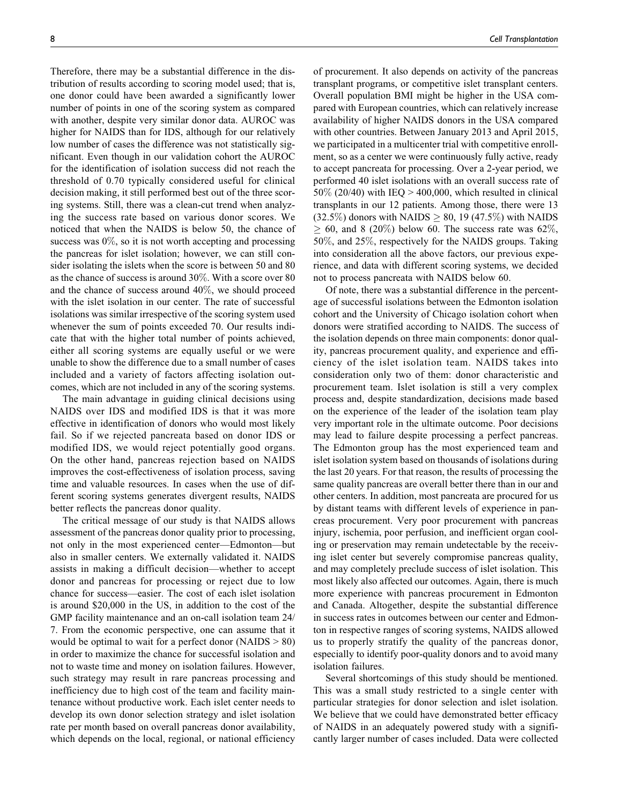Therefore, there may be a substantial difference in the distribution of results according to scoring model used; that is, one donor could have been awarded a significantly lower number of points in one of the scoring system as compared with another, despite very similar donor data. AUROC was higher for NAIDS than for IDS, although for our relatively low number of cases the difference was not statistically significant. Even though in our validation cohort the AUROC for the identification of isolation success did not reach the threshold of 0.70 typically considered useful for clinical decision making, it still performed best out of the three scoring systems. Still, there was a clean-cut trend when analyzing the success rate based on various donor scores. We noticed that when the NAIDS is below 50, the chance of success was  $0\%$ , so it is not worth accepting and processing the pancreas for islet isolation; however, we can still consider isolating the islets when the score is between 50 and 80 as the chance of success is around 30%. With a score over 80 and the chance of success around 40%, we should proceed with the islet isolation in our center. The rate of successful isolations was similar irrespective of the scoring system used whenever the sum of points exceeded 70. Our results indicate that with the higher total number of points achieved, either all scoring systems are equally useful or we were unable to show the difference due to a small number of cases included and a variety of factors affecting isolation outcomes, which are not included in any of the scoring systems.

The main advantage in guiding clinical decisions using NAIDS over IDS and modified IDS is that it was more effective in identification of donors who would most likely fail. So if we rejected pancreata based on donor IDS or modified IDS, we would reject potentially good organs. On the other hand, pancreas rejection based on NAIDS improves the cost-effectiveness of isolation process, saving time and valuable resources. In cases when the use of different scoring systems generates divergent results, NAIDS better reflects the pancreas donor quality.

The critical message of our study is that NAIDS allows assessment of the pancreas donor quality prior to processing, not only in the most experienced center—Edmonton—but also in smaller centers. We externally validated it. NAIDS assists in making a difficult decision—whether to accept donor and pancreas for processing or reject due to low chance for success—easier. The cost of each islet isolation is around \$20,000 in the US, in addition to the cost of the GMP facility maintenance and an on-call isolation team 24/ 7. From the economic perspective, one can assume that it would be optimal to wait for a perfect donor (NAIDS > 80) in order to maximize the chance for successful isolation and not to waste time and money on isolation failures. However, such strategy may result in rare pancreas processing and inefficiency due to high cost of the team and facility maintenance without productive work. Each islet center needs to develop its own donor selection strategy and islet isolation rate per month based on overall pancreas donor availability, which depends on the local, regional, or national efficiency of procurement. It also depends on activity of the pancreas transplant programs, or competitive islet transplant centers. Overall population BMI might be higher in the USA compared with European countries, which can relatively increase availability of higher NAIDS donors in the USA compared with other countries. Between January 2013 and April 2015, we participated in a multicenter trial with competitive enrollment, so as a center we were continuously fully active, ready to accept pancreata for processing. Over a 2-year period, we performed 40 islet isolations with an overall success rate of 50% (20/40) with IEQ > 400,000, which resulted in clinical transplants in our 12 patients. Among those, there were 13  $(32.5\%)$  donors with NAIDS  $\geq 80$ , 19 (47.5%) with NAIDS  $\geq$  60, and 8 (20%) below 60. The success rate was 62%, 50%, and 25%, respectively for the NAIDS groups. Taking into consideration all the above factors, our previous experience, and data with different scoring systems, we decided not to process pancreata with NAIDS below 60.

Of note, there was a substantial difference in the percentage of successful isolations between the Edmonton isolation cohort and the University of Chicago isolation cohort when donors were stratified according to NAIDS. The success of the isolation depends on three main components: donor quality, pancreas procurement quality, and experience and efficiency of the islet isolation team. NAIDS takes into consideration only two of them: donor characteristic and procurement team. Islet isolation is still a very complex process and, despite standardization, decisions made based on the experience of the leader of the isolation team play very important role in the ultimate outcome. Poor decisions may lead to failure despite processing a perfect pancreas. The Edmonton group has the most experienced team and islet isolation system based on thousands of isolations during the last 20 years. For that reason, the results of processing the same quality pancreas are overall better there than in our and other centers. In addition, most pancreata are procured for us by distant teams with different levels of experience in pancreas procurement. Very poor procurement with pancreas injury, ischemia, poor perfusion, and inefficient organ cooling or preservation may remain undetectable by the receiving islet center but severely compromise pancreas quality, and may completely preclude success of islet isolation. This most likely also affected our outcomes. Again, there is much more experience with pancreas procurement in Edmonton and Canada. Altogether, despite the substantial difference in success rates in outcomes between our center and Edmonton in respective ranges of scoring systems, NAIDS allowed us to properly stratify the quality of the pancreas donor, especially to identify poor-quality donors and to avoid many isolation failures.

Several shortcomings of this study should be mentioned. This was a small study restricted to a single center with particular strategies for donor selection and islet isolation. We believe that we could have demonstrated better efficacy of NAIDS in an adequately powered study with a significantly larger number of cases included. Data were collected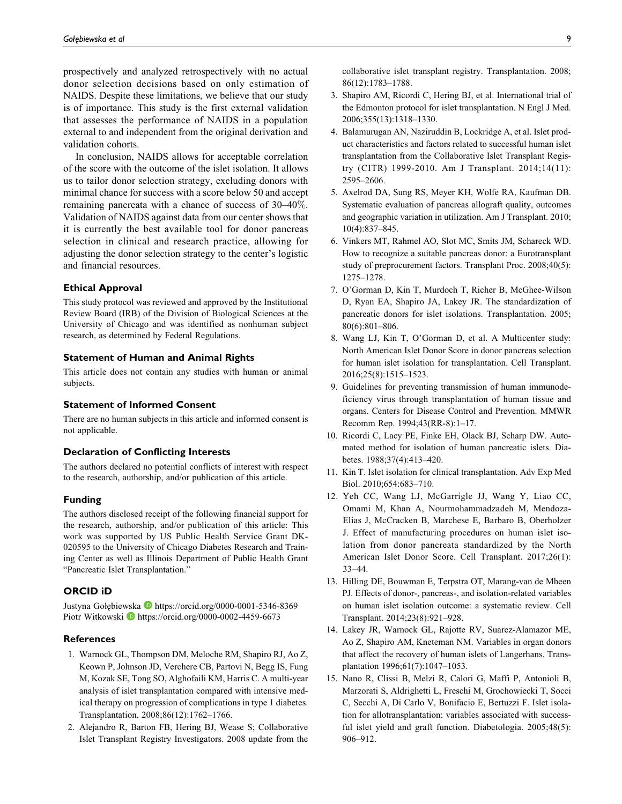prospectively and analyzed retrospectively with no actual donor selection decisions based on only estimation of NAIDS. Despite these limitations, we believe that our study is of importance. This study is the first external validation that assesses the performance of NAIDS in a population external to and independent from the original derivation and validation cohorts.

In conclusion, NAIDS allows for acceptable correlation of the score with the outcome of the islet isolation. It allows us to tailor donor selection strategy, excluding donors with minimal chance for success with a score below 50 and accept remaining pancreata with a chance of success of 30–40%. Validation of NAIDS against data from our center shows that it is currently the best available tool for donor pancreas selection in clinical and research practice, allowing for adjusting the donor selection strategy to the center's logistic and financial resources.

#### Ethical Approval

This study protocol was reviewed and approved by the Institutional Review Board (IRB) of the Division of Biological Sciences at the University of Chicago and was identified as nonhuman subject research, as determined by Federal Regulations.

#### Statement of Human and Animal Rights

This article does not contain any studies with human or animal subjects.

#### Statement of Informed Consent

There are no human subjects in this article and informed consent is not applicable.

#### Declaration of Conflicting Interests

The authors declared no potential conflicts of interest with respect to the research, authorship, and/or publication of this article.

#### Funding

The authors disclosed receipt of the following financial support for the research, authorship, and/or publication of this article: This work was supported by US Public Health Service Grant DK-020595 to the University of Chicago Diabetes Research and Training Center as well as Illinois Department of Public Health Grant "Pancreatic Islet Transplantation."

#### ORCID iD

Justyna Gołębiewska <https://orcid.org/0000-0001-5346-8369> Piotr Witkowski <https://orcid.org/0000-0002-4459-6673>

#### **References**

- 1. Warnock GL, Thompson DM, Meloche RM, Shapiro RJ, Ao Z, Keown P, Johnson JD, Verchere CB, Partovi N, Begg IS, Fung M, Kozak SE, Tong SO, Alghofaili KM, Harris C. A multi-year analysis of islet transplantation compared with intensive medical therapy on progression of complications in type 1 diabetes. Transplantation. 2008;86(12):1762–1766.
- 2. Alejandro R, Barton FB, Hering BJ, Wease S; Collaborative Islet Transplant Registry Investigators. 2008 update from the

collaborative islet transplant registry. Transplantation. 2008; 86(12):1783–1788.

- 3. Shapiro AM, Ricordi C, Hering BJ, et al. International trial of the Edmonton protocol for islet transplantation. N Engl J Med. 2006;355(13):1318–1330.
- 4. Balamurugan AN, Naziruddin B, Lockridge A, et al. Islet product characteristics and factors related to successful human islet transplantation from the Collaborative Islet Transplant Registry (CITR) 1999-2010. Am J Transplant. 2014;14(11): 2595–2606.
- 5. Axelrod DA, Sung RS, Meyer KH, Wolfe RA, Kaufman DB. Systematic evaluation of pancreas allograft quality, outcomes and geographic variation in utilization. Am J Transplant. 2010; 10(4):837–845.
- 6. Vinkers MT, Rahmel AO, Slot MC, Smits JM, Schareck WD. How to recognize a suitable pancreas donor: a Eurotransplant study of preprocurement factors. Transplant Proc. 2008;40(5): 1275–1278.
- 7. O'Gorman D, Kin T, Murdoch T, Richer B, McGhee-Wilson D, Ryan EA, Shapiro JA, Lakey JR. The standardization of pancreatic donors for islet isolations. Transplantation. 2005; 80(6):801–806.
- 8. Wang LJ, Kin T, O'Gorman D, et al. A Multicenter study: North American Islet Donor Score in donor pancreas selection for human islet isolation for transplantation. Cell Transplant. 2016;25(8):1515–1523.
- 9. Guidelines for preventing transmission of human immunodeficiency virus through transplantation of human tissue and organs. Centers for Disease Control and Prevention. MMWR Recomm Rep. 1994;43(RR-8):1–17.
- 10. Ricordi C, Lacy PE, Finke EH, Olack BJ, Scharp DW. Automated method for isolation of human pancreatic islets. Diabetes. 1988;37(4):413–420.
- 11. Kin T. Islet isolation for clinical transplantation. Adv Exp Med Biol. 2010;654:683–710.
- 12. Yeh CC, Wang LJ, McGarrigle JJ, Wang Y, Liao CC, Omami M, Khan A, Nourmohammadzadeh M, Mendoza-Elias J, McCracken B, Marchese E, Barbaro B, Oberholzer J. Effect of manufacturing procedures on human islet isolation from donor pancreata standardized by the North American Islet Donor Score. Cell Transplant. 2017;26(1): 33–44.
- 13. Hilling DE, Bouwman E, Terpstra OT, Marang-van de Mheen PJ. Effects of donor-, pancreas-, and isolation-related variables on human islet isolation outcome: a systematic review. Cell Transplant. 2014;23(8):921–928.
- 14. Lakey JR, Warnock GL, Rajotte RV, Suarez-Alamazor ME, Ao Z, Shapiro AM, Kneteman NM. Variables in organ donors that affect the recovery of human islets of Langerhans. Transplantation 1996;61(7):1047–1053.
- 15. Nano R, Clissi B, Melzi R, Calori G, Maffi P, Antonioli B, Marzorati S, Aldrighetti L, Freschi M, Grochowiecki T, Socci C, Secchi A, Di Carlo V, Bonifacio E, Bertuzzi F. Islet isolation for allotransplantation: variables associated with successful islet yield and graft function. Diabetologia. 2005;48(5): 906–912.